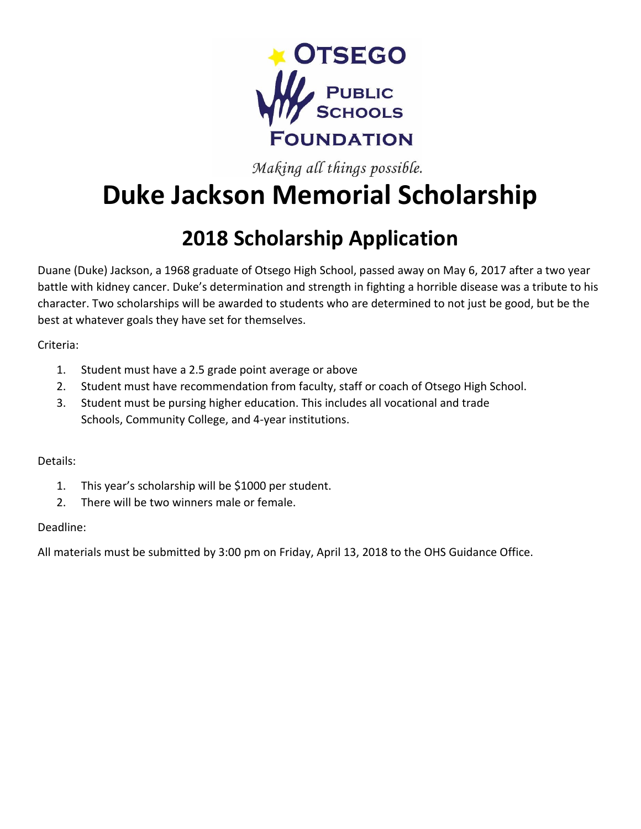

Making all things possible.

# **Duke Jackson Memorial Scholarship**

## **2018 Scholarship Application**

Duane (Duke) Jackson, a 1968 graduate of Otsego High School, passed away on May 6, 2017 after a two year battle with kidney cancer. Duke's determination and strength in fighting a horrible disease was a tribute to his character. Two scholarships will be awarded to students who are determined to not just be good, but be the best at whatever goals they have set for themselves.

Criteria:

- 1. Student must have a 2.5 grade point average or above
- 2. Student must have recommendation from faculty, staff or coach of Otsego High School.
- 3. Student must be pursing higher education. This includes all vocational and trade Schools, Community College, and 4-year institutions.

#### Details:

- 1. This year's scholarship will be \$1000 per student.
- 2. There will be two winners male or female.

#### Deadline:

All materials must be submitted by 3:00 pm on Friday, April 13, 2018 to the OHS Guidance Office.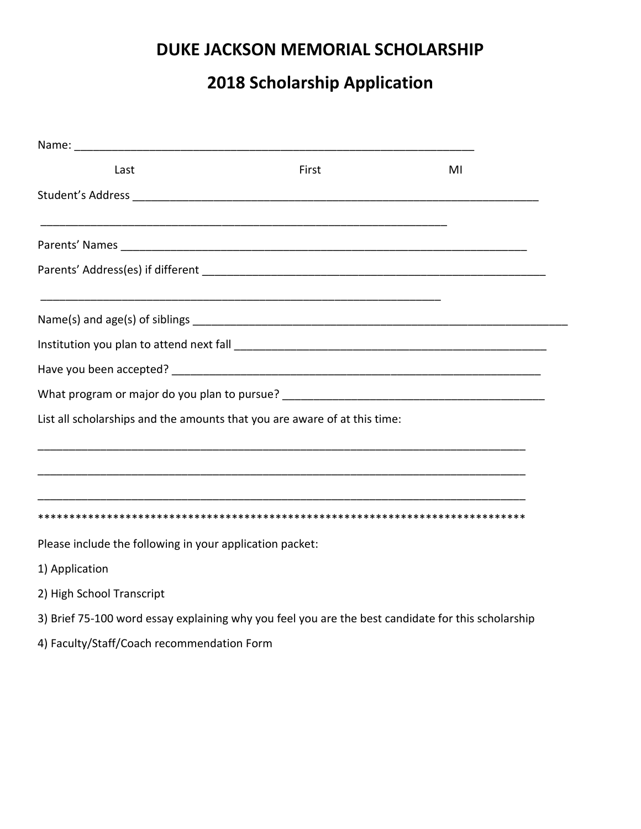### **DUKE JACKSON MEMORIAL SCHOLARSHIP**

## **2018 Scholarship Application**

| Last                                                                      | First | MI |
|---------------------------------------------------------------------------|-------|----|
|                                                                           |       |    |
|                                                                           |       |    |
|                                                                           |       |    |
|                                                                           |       |    |
|                                                                           |       |    |
|                                                                           |       |    |
|                                                                           |       |    |
| List all scholarships and the amounts that you are aware of at this time: |       |    |
|                                                                           |       |    |
|                                                                           |       |    |
|                                                                           |       |    |
| Please include the following in your application packet:                  |       |    |
| 1) Application                                                            |       |    |

- 2) High School Transcript
- 3) Brief 75-100 word essay explaining why you feel you are the best candidate for this scholarship
- 4) Faculty/Staff/Coach recommendation Form